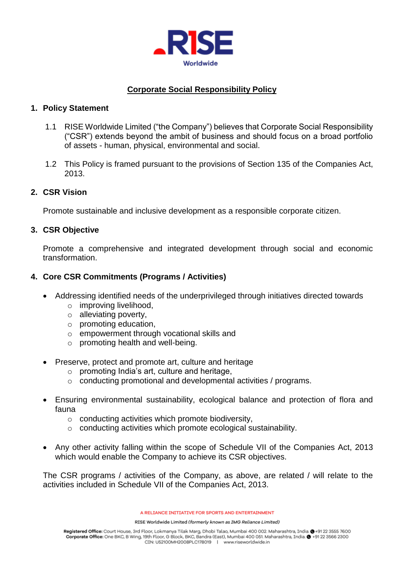

# **Corporate Social Responsibility Policy**

### **1. Policy Statement**

- 1.1 RISE Worldwide Limited ("the Company") believes that Corporate Social Responsibility ("CSR") extends beyond the ambit of business and should focus on a broad portfolio of assets - human, physical, environmental and social.
- 1.2 This Policy is framed pursuant to the provisions of Section 135 of the Companies Act, 2013.

### **2. CSR Vision**

Promote sustainable and inclusive development as a responsible corporate citizen.

### **3. CSR Objective**

Promote a comprehensive and integrated development through social and economic transformation.

### **4. Core CSR Commitments (Programs / Activities)**

- Addressing identified needs of the underprivileged through initiatives directed towards
	- o improving livelihood,
	- o alleviating poverty,
	- o promoting education,
	- o empowerment through vocational skills and
	- $\circ$  promoting health and well-being.
- Preserve, protect and promote art, culture and heritage
	- $\circ$  promoting India's art, culture and heritage,
	- o conducting promotional and developmental activities / programs.
- Ensuring environmental sustainability, ecological balance and protection of flora and fauna
	- o conducting activities which promote biodiversity,
	- o conducting activities which promote ecological sustainability.
- Any other activity falling within the scope of Schedule VII of the Companies Act, 2013 which would enable the Company to achieve its CSR objectives.

The CSR programs / activities of the Company, as above, are related / will relate to the activities included in Schedule VII of the Companies Act, 2013.

A RELIANCE INITIATIVE FOR SPORTS AND ENTERTAINMENT

RISE Worldwide Limited (formerly known as IMG Reliance Limited)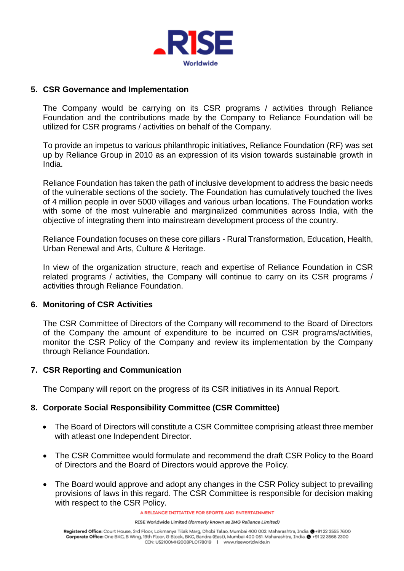

#### **5. CSR Governance and Implementation**

The Company would be carrying on its CSR programs / activities through Reliance Foundation and the contributions made by the Company to Reliance Foundation will be utilized for CSR programs / activities on behalf of the Company.

To provide an impetus to various philanthropic initiatives, Reliance Foundation (RF) was set up by Reliance Group in 2010 as an expression of its vision towards sustainable growth in India.

Reliance Foundation has taken the path of inclusive development to address the basic needs of the vulnerable sections of the society. The Foundation has cumulatively touched the lives of 4 million people in over 5000 villages and various urban locations. The Foundation works with some of the most vulnerable and marginalized communities across India, with the objective of integrating them into mainstream development process of the country.

Reliance Foundation focuses on these core pillars - Rural Transformation, Education, Health, Urban Renewal and Arts, Culture & Heritage.

In view of the organization structure, reach and expertise of Reliance Foundation in CSR related programs / activities, the Company will continue to carry on its CSR programs / activities through Reliance Foundation.

### **6. Monitoring of CSR Activities**

The CSR Committee of Directors of the Company will recommend to the Board of Directors of the Company the amount of expenditure to be incurred on CSR programs/activities, monitor the CSR Policy of the Company and review its implementation by the Company through Reliance Foundation.

#### **7. CSR Reporting and Communication**

The Company will report on the progress of its CSR initiatives in its Annual Report.

### **8. Corporate Social Responsibility Committee (CSR Committee)**

- The Board of Directors will constitute a CSR Committee comprising atleast three member with atleast one Independent Director.
- The CSR Committee would formulate and recommend the draft CSR Policy to the Board of Directors and the Board of Directors would approve the Policy.
- The Board would approve and adopt any changes in the CSR Policy subject to prevailing provisions of laws in this regard. The CSR Committee is responsible for decision making with respect to the CSR Policy.

A RELIANCE INITIATIVE FOR SPORTS AND ENTERTAINMENT

RISE Worldwide Limited (formerly known as IMG Reliance Limited)